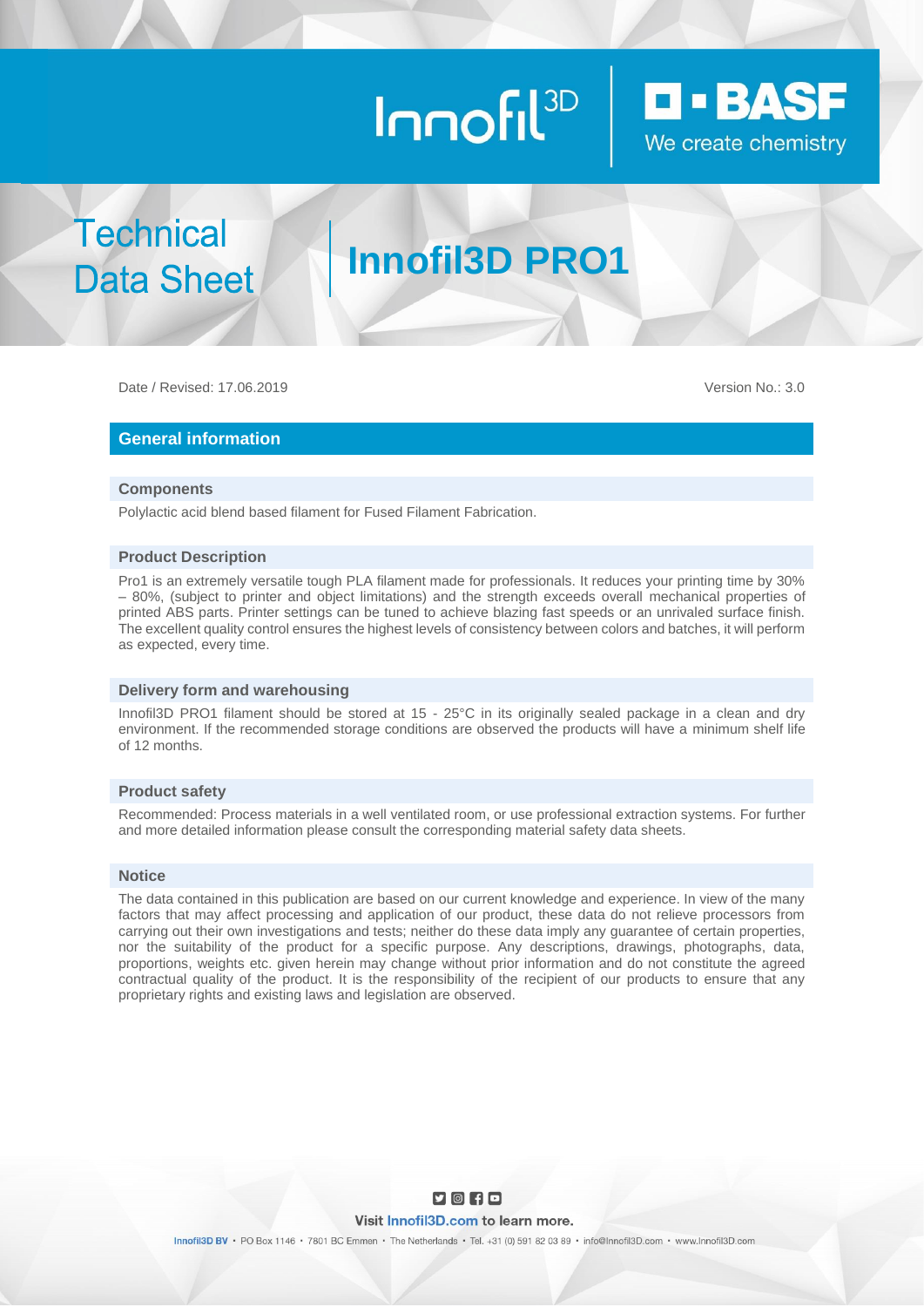# Innofil<sup>3D</sup>



**Technical Data Sheet** 

## **Innofil3D PRO1**

Date / Revised: 17.06.2019 Version No.: 3.0

#### **General information**

#### **Components**

Polylactic acid blend based filament for Fused Filament Fabrication.

#### **Product Description**

Pro1 is an extremely versatile tough PLA filament made for professionals. It reduces your printing time by 30% – 80%, (subject to printer and object limitations) and the strength exceeds overall mechanical properties of printed ABS parts. Printer settings can be tuned to achieve blazing fast speeds or an unrivaled surface finish. The excellent quality control ensures the highest levels of consistency between colors and batches, it will perform as expected, every time.

#### **Delivery form and warehousing**

Innofil3D PRO1 filament should be stored at 15 - 25°C in its originally sealed package in a clean and dry environment. If the recommended storage conditions are observed the products will have a minimum shelf life of 12 months.

#### **Product safety**

Recommended: Process materials in a well ventilated room, or use professional extraction systems. For further and more detailed information please consult the corresponding material safety data sheets.

#### **Notice**

The data contained in this publication are based on our current knowledge and experience. In view of the many factors that may affect processing and application of our product, these data do not relieve processors from carrying out their own investigations and tests; neither do these data imply any guarantee of certain properties, nor the suitability of the product for a specific purpose. Any descriptions, drawings, photographs, data, proportions, weights etc. given herein may change without prior information and do not constitute the agreed contractual quality of the product. It is the responsibility of the recipient of our products to ensure that any proprietary rights and existing laws and legislation are observed.



Innofil3D BV · PO Box 1146 · 7801 BC Emmen · The Netherlands · Tel. +31 (0) 591 82 03 89 · info@Innofil3D.com · www.Innofil3D.com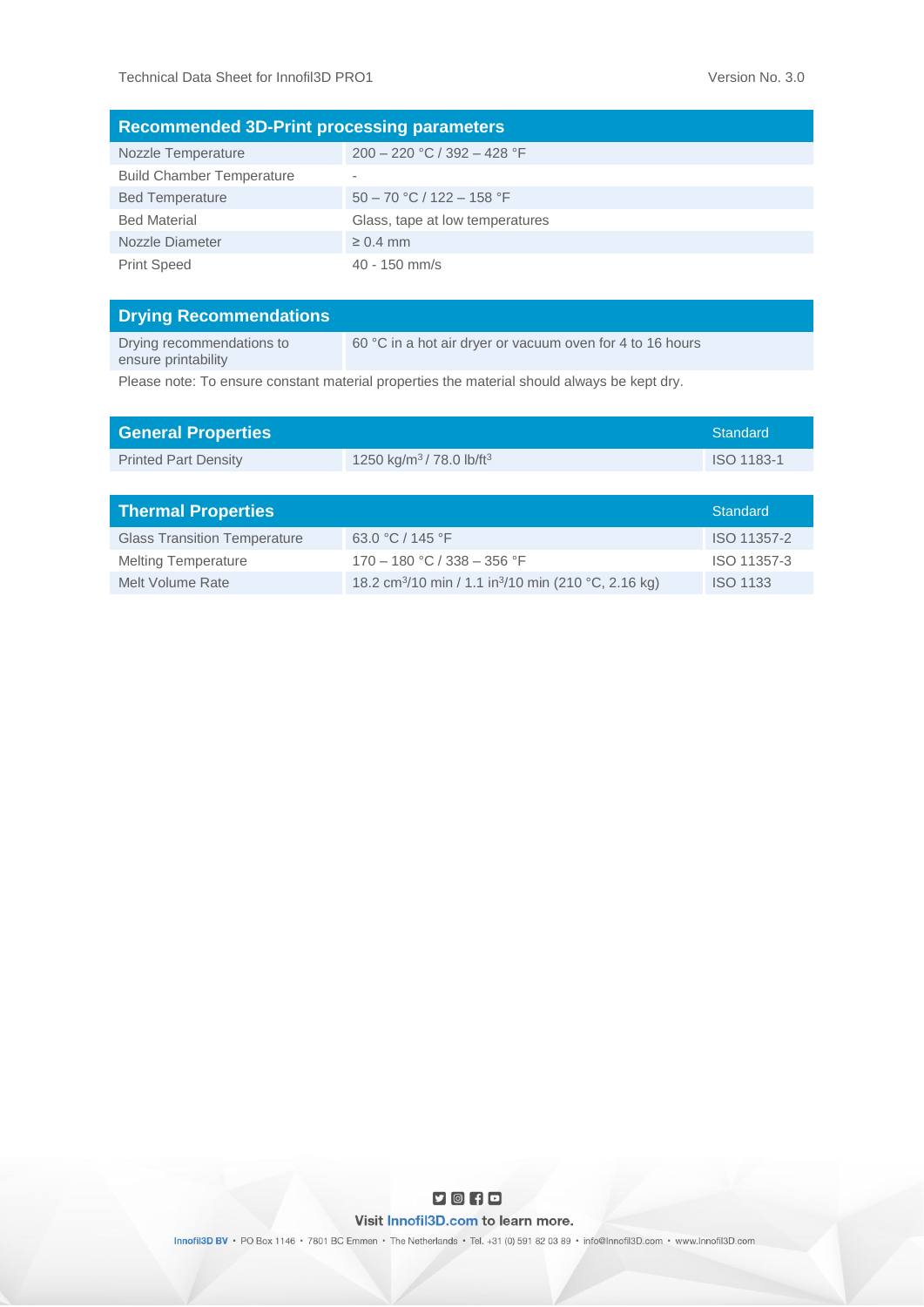| <b>Recommended 3D-Print processing parameters</b> |                                 |  |  |  |
|---------------------------------------------------|---------------------------------|--|--|--|
| Nozzle Temperature                                | $200 - 220$ °C / 392 - 428 °F   |  |  |  |
| <b>Build Chamber Temperature</b>                  | $\overline{\phantom{a}}$        |  |  |  |
| <b>Bed Temperature</b>                            | $50 - 70$ °C / 122 - 158 °F     |  |  |  |
| <b>Bed Material</b>                               | Glass, tape at low temperatures |  |  |  |
| Nozzle Diameter                                   | $\geq 0.4$ mm                   |  |  |  |
| <b>Print Speed</b>                                | $40 - 150$ mm/s                 |  |  |  |

| <b>Drying Recommendations</b>                    |                                                           |
|--------------------------------------------------|-----------------------------------------------------------|
| Drying recommendations to<br>ensure printability | 60 °C in a hot air dryer or vacuum oven for 4 to 16 hours |
|                                                  |                                                           |

Please note: To ensure constant material properties the material should always be kept dry.

| <b>General Properties</b>           |                                                                              | <b>Standard</b> |
|-------------------------------------|------------------------------------------------------------------------------|-----------------|
| <b>Printed Part Density</b>         | 1250 kg/m <sup>3</sup> /78.0 lb/ft <sup>3</sup>                              | ISO 1183-1      |
|                                     |                                                                              |                 |
| <b>Thermal Properties</b>           |                                                                              | <b>Standard</b> |
| <b>Glass Transition Temperature</b> | 63.0 °C / 145 °F                                                             | ISO 11357-2     |
| <b>Melting Temperature</b>          | $170 - 180$ °C / 338 - 356 °F                                                | ISO 11357-3     |
| Melt Volume Rate                    | 18.2 cm <sup>3</sup> /10 min / 1.1 in <sup>3</sup> /10 min (210 °C, 2.16 kg) | <b>ISO 1133</b> |



Innofil3D BV · PO Box 1146 · 7801 BC Emmen · The Netherlands · Tel. +31 (0) 591 82 03 89 · info@Innofil3D.com · www.Innofil3D.com